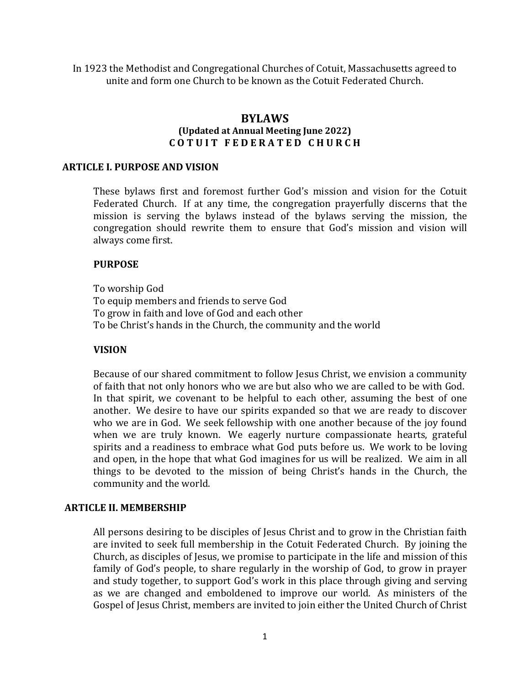In 1923 the Methodist and Congregational Churches of Cotuit, Massachusetts agreed to unite and form one Church to be known as the Cotuit Federated Church.

## **BYLAWS (Updated at Annual Meeting June 2022) C O T U I T F E D E R A T E D C H U R C H**

### **ARTICLE I. PURPOSE AND VISION**

These bylaws first and foremost further God's mission and vision for the Cotuit Federated Church. If at any time, the congregation prayerfully discerns that the mission is serving the bylaws instead of the bylaws serving the mission, the congregation should rewrite them to ensure that God's mission and vision will always come first.

#### **PURPOSE**

To worship God To equip members and friends to serve God To grow in faith and love of God and each other To be Christ's hands in the Church, the community and the world

#### **VISION**

Because of our shared commitment to follow Jesus Christ, we envision a community of faith that not only honors who we are but also who we are called to be with God. In that spirit, we covenant to be helpful to each other, assuming the best of one another. We desire to have our spirits expanded so that we are ready to discover who we are in God. We seek fellowship with one another because of the joy found when we are truly known. We eagerly nurture compassionate hearts, grateful spirits and a readiness to embrace what God puts before us. We work to be loving and open, in the hope that what God imagines for us will be realized. We aim in all things to be devoted to the mission of being Christ's hands in the Church, the community and the world.

#### **ARTICLE II. MEMBERSHIP**

All persons desiring to be disciples of Jesus Christ and to grow in the Christian faith are invited to seek full membership in the Cotuit Federated Church. By joining the Church, as disciples of Jesus, we promise to participate in the life and mission of this family of God's people, to share regularly in the worship of God, to grow in prayer and study together, to support God's work in this place through giving and serving as we are changed and emboldened to improve our world. As ministers of the Gospel of Jesus Christ, members are invited to join either the United Church of Christ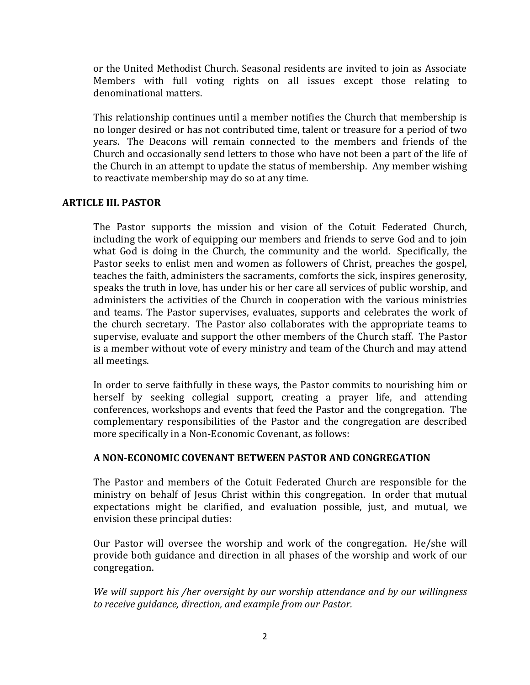or the United Methodist Church. Seasonal residents are invited to join as Associate Members with full voting rights on all issues except those relating to denominational matters.

This relationship continues until a member notifies the Church that membership is no longer desired or has not contributed time, talent or treasure for a period of two years. The Deacons will remain connected to the members and friends of the Church and occasionally send letters to those who have not been a part of the life of the Church in an attempt to update the status of membership. Any member wishing to reactivate membership may do so at any time.

### **ARTICLE III. PASTOR**

The Pastor supports the mission and vision of the Cotuit Federated Church, including the work of equipping our members and friends to serve God and to join what God is doing in the Church, the community and the world. Specifically, the Pastor seeks to enlist men and women as followers of Christ, preaches the gospel, teaches the faith, administers the sacraments, comforts the sick, inspires generosity, speaks the truth in love, has under his or her care all services of public worship, and administers the activities of the Church in cooperation with the various ministries and teams. The Pastor supervises, evaluates, supports and celebrates the work of the church secretary. The Pastor also collaborates with the appropriate teams to supervise, evaluate and support the other members of the Church staff. The Pastor is a member without vote of every ministry and team of the Church and may attend all meetings.

In order to serve faithfully in these ways, the Pastor commits to nourishing him or herself by seeking collegial support, creating a prayer life, and attending conferences, workshops and events that feed the Pastor and the congregation. The complementary responsibilities of the Pastor and the congregation are described more specifically in a Non-Economic Covenant, as follows:

## **A NON-ECONOMIC COVENANT BETWEEN PASTOR AND CONGREGATION**

The Pastor and members of the Cotuit Federated Church are responsible for the ministry on behalf of Jesus Christ within this congregation. In order that mutual expectations might be clarified, and evaluation possible, just, and mutual, we envision these principal duties:

Our Pastor will oversee the worship and work of the congregation. He/she will provide both guidance and direction in all phases of the worship and work of our congregation.

*We will support his /her oversight by our worship attendance and by our willingness to receive guidance, direction, and example from our Pastor.*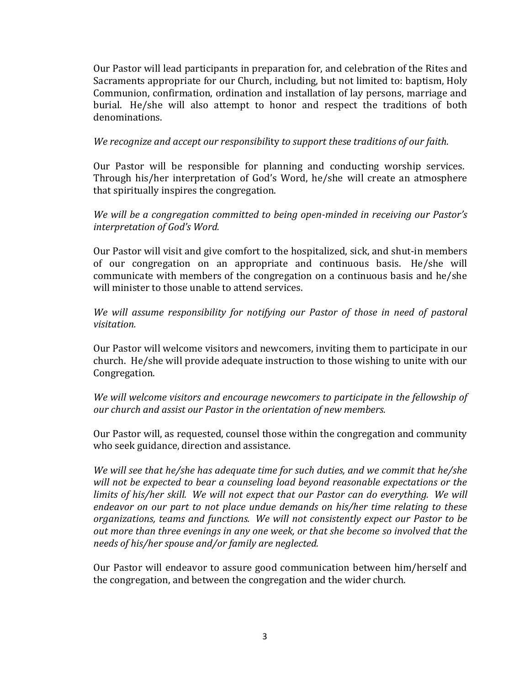Our Pastor will lead participants in preparation for, and celebration of the Rites and Sacraments appropriate for our Church, including, but not limited to: baptism, Holy Communion, confirmation, ordination and installation of lay persons, marriage and burial. He/she will also attempt to honor and respect the traditions of both denominations.

*We recognize and accept our responsibil*ity *to support these traditions of our faith.*

Our Pastor will be responsible for planning and conducting worship services. Through his/her interpretation of God's Word, he/she will create an atmosphere that spiritually inspires the congregation.

*We will be a congregation committed to being open-minded in receiving our Pastor's interpretation of God's Word.*

Our Pastor will visit and give comfort to the hospitalized, sick, and shut-in members of our congregation on an appropriate and continuous basis. He/she will communicate with members of the congregation on a continuous basis and he/she will minister to those unable to attend services.

*We will assume responsibility for notifying our Pastor of those in need of pastoral visitation.*

Our Pastor will welcome visitors and newcomers, inviting them to participate in our church. He/she will provide adequate instruction to those wishing to unite with our Congregation.

*We will welcome visitors and encourage newcomers to participate in the fellowship of our church and assist our Pastor in the orientation of new members.*

Our Pastor will, as requested, counsel those within the congregation and community who seek guidance, direction and assistance.

*We will see that he/she has adequate time for such duties, and we commit that he/she will not be expected to bear a counseling load beyond reasonable expectations or the limits of his/her skill. We will not expect that our Pastor can do everything. We will endeavor on our part to not place undue demands on his/her time relating to these organizations, teams and functions. We will not consistently expect our Pastor to be out more than three evenings in any one week, or that she become so involved that the needs of his/her spouse and/or family are neglected.*

Our Pastor will endeavor to assure good communication between him/herself and the congregation, and between the congregation and the wider church.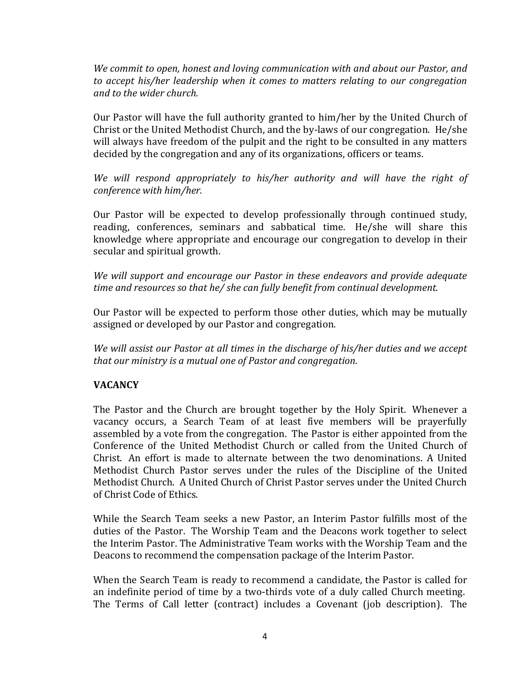*We commit to open, honest and loving communication with and about our Pastor, and to accept his/her leadership when it comes to matters relating to our congregation and to the wider church.*

Our Pastor will have the full authority granted to him/her by the United Church of Christ or the United Methodist Church, and the by-laws of our congregation. He/she will always have freedom of the pulpit and the right to be consulted in any matters decided by the congregation and any of its organizations, officers or teams.

*We will respond appropriately to his/her authority and will have the right of conference with him/her.*

Our Pastor will be expected to develop professionally through continued study, reading, conferences, seminars and sabbatical time. He/she will share this knowledge where appropriate and encourage our congregation to develop in their secular and spiritual growth.

*We will support and encourage our Pastor in these endeavors and provide adequate time and resources so that he/ she can fully benefit from continual development.*

Our Pastor will be expected to perform those other duties, which may be mutually assigned or developed by our Pastor and congregation.

*We will assist our Pastor at all times in the discharge of his/her duties and we accept that our ministry is a mutual one of Pastor and congregation.*

# **VACANCY**

The Pastor and the Church are brought together by the Holy Spirit. Whenever a vacancy occurs, a Search Team of at least five members will be prayerfully assembled by a vote from the congregation. The Pastor is either appointed from the Conference of the United Methodist Church or called from the United Church of Christ. An effort is made to alternate between the two denominations. A United Methodist Church Pastor serves under the rules of the Discipline of the United Methodist Church. A United Church of Christ Pastor serves under the United Church of Christ Code of Ethics.

While the Search Team seeks a new Pastor, an Interim Pastor fulfills most of the duties of the Pastor. The Worship Team and the Deacons work together to select the Interim Pastor. The Administrative Team works with the Worship Team and the Deacons to recommend the compensation package of the Interim Pastor.

When the Search Team is ready to recommend a candidate, the Pastor is called for an indefinite period of time by a two-thirds vote of a duly called Church meeting. The Terms of Call letter (contract) includes a Covenant (job description). The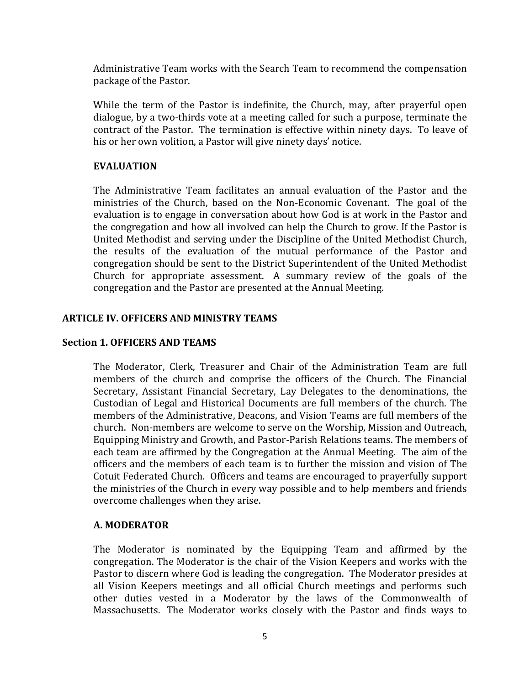Administrative Team works with the Search Team to recommend the compensation package of the Pastor.

While the term of the Pastor is indefinite, the Church, may, after prayerful open dialogue, by a two-thirds vote at a meeting called for such a purpose, terminate the contract of the Pastor. The termination is effective within ninety days. To leave of his or her own volition, a Pastor will give ninety days' notice.

### **EVALUATION**

The Administrative Team facilitates an annual evaluation of the Pastor and the ministries of the Church, based on the Non-Economic Covenant. The goal of the evaluation is to engage in conversation about how God is at work in the Pastor and the congregation and how all involved can help the Church to grow. If the Pastor is United Methodist and serving under the Discipline of the United Methodist Church, the results of the evaluation of the mutual performance of the Pastor and congregation should be sent to the District Superintendent of the United Methodist Church for appropriate assessment. A summary review of the goals of the congregation and the Pastor are presented at the Annual Meeting.

### **ARTICLE IV. OFFICERS AND MINISTRY TEAMS**

### **Section 1. OFFICERS AND TEAMS**

The Moderator, Clerk, Treasurer and Chair of the Administration Team are full members of the church and comprise the officers of the Church. The Financial Secretary, Assistant Financial Secretary, Lay Delegates to the denominations, the Custodian of Legal and Historical Documents are full members of the church. The members of the Administrative, Deacons, and Vision Teams are full members of the church. Non-members are welcome to serve on the Worship, Mission and Outreach, Equipping Ministry and Growth, and Pastor-Parish Relations teams. The members of each team are affirmed by the Congregation at the Annual Meeting. The aim of the officers and the members of each team is to further the mission and vision of The Cotuit Federated Church. Officers and teams are encouraged to prayerfully support the ministries of the Church in every way possible and to help members and friends overcome challenges when they arise.

### **A. MODERATOR**

The Moderator is nominated by the Equipping Team and affirmed by the congregation. The Moderator is the chair of the Vision Keepers and works with the Pastor to discern where God is leading the congregation. The Moderator presides at all Vision Keepers meetings and all official Church meetings and performs such other duties vested in a Moderator by the laws of the Commonwealth of Massachusetts. The Moderator works closely with the Pastor and finds ways to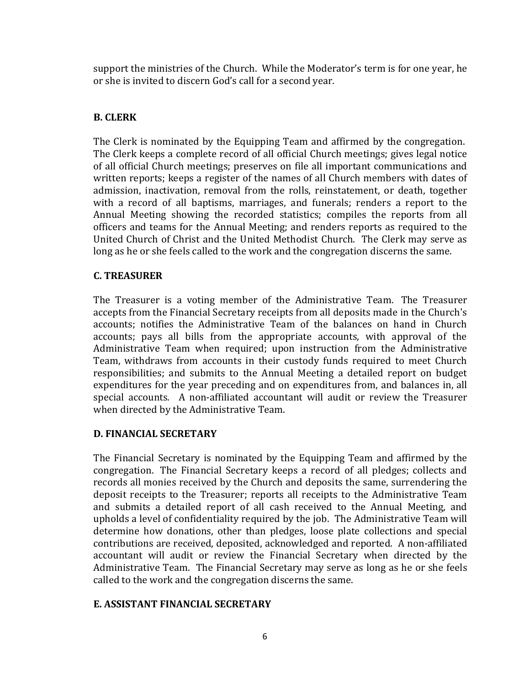support the ministries of the Church. While the Moderator's term is for one year, he or she is invited to discern God's call for a second year.

# **B. CLERK**

The Clerk is nominated by the Equipping Team and affirmed by the congregation. The Clerk keeps a complete record of all official Church meetings; gives legal notice of all official Church meetings; preserves on file all important communications and written reports; keeps a register of the names of all Church members with dates of admission, inactivation, removal from the rolls, reinstatement, or death, together with a record of all baptisms, marriages, and funerals; renders a report to the Annual Meeting showing the recorded statistics; compiles the reports from all officers and teams for the Annual Meeting; and renders reports as required to the United Church of Christ and the United Methodist Church. The Clerk may serve as long as he or she feels called to the work and the congregation discerns the same.

# **C. TREASURER**

The Treasurer is a voting member of the Administrative Team. The Treasurer accepts from the Financial Secretary receipts from all deposits made in the Church's accounts; notifies the Administrative Team of the balances on hand in Church accounts; pays all bills from the appropriate accounts, with approval of the Administrative Team when required; upon instruction from the Administrative Team, withdraws from accounts in their custody funds required to meet Church responsibilities; and submits to the Annual Meeting a detailed report on budget expenditures for the year preceding and on expenditures from, and balances in, all special accounts. A non-affiliated accountant will audit or review the Treasurer when directed by the Administrative Team.

## **D. FINANCIAL SECRETARY**

The Financial Secretary is nominated by the Equipping Team and affirmed by the congregation. The Financial Secretary keeps a record of all pledges; collects and records all monies received by the Church and deposits the same, surrendering the deposit receipts to the Treasurer; reports all receipts to the Administrative Team and submits a detailed report of all cash received to the Annual Meeting, and upholds a level of confidentiality required by the job. The Administrative Team will determine how donations, other than pledges, loose plate collections and special contributions are received, deposited, acknowledged and reported. A non-affiliated accountant will audit or review the Financial Secretary when directed by the Administrative Team. The Financial Secretary may serve as long as he or she feels called to the work and the congregation discerns the same.

## **E. ASSISTANT FINANCIAL SECRETARY**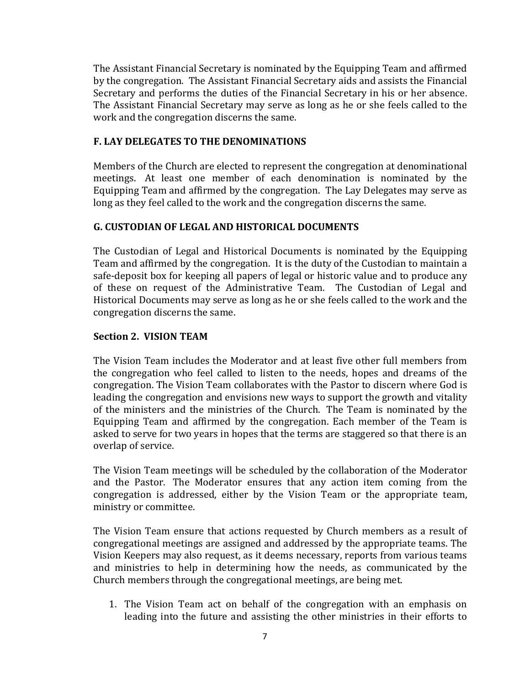The Assistant Financial Secretary is nominated by the Equipping Team and affirmed by the congregation. The Assistant Financial Secretary aids and assists the Financial Secretary and performs the duties of the Financial Secretary in his or her absence. The Assistant Financial Secretary may serve as long as he or she feels called to the work and the congregation discerns the same.

## **F. LAY DELEGATES TO THE DENOMINATIONS**

Members of the Church are elected to represent the congregation at denominational meetings. At least one member of each denomination is nominated by the Equipping Team and affirmed by the congregation. The Lay Delegates may serve as long as they feel called to the work and the congregation discerns the same.

# **G. CUSTODIAN OF LEGAL AND HISTORICAL DOCUMENTS**

The Custodian of Legal and Historical Documents is nominated by the Equipping Team and affirmed by the congregation. It is the duty of the Custodian to maintain a safe-deposit box for keeping all papers of legal or historic value and to produce any of these on request of the Administrative Team. The Custodian of Legal and Historical Documents may serve as long as he or she feels called to the work and the congregation discerns the same.

# **Section 2. VISION TEAM**

The Vision Team includes the Moderator and at least five other full members from the congregation who feel called to listen to the needs, hopes and dreams of the congregation. The Vision Team collaborates with the Pastor to discern where God is leading the congregation and envisions new ways to support the growth and vitality of the ministers and the ministries of the Church. The Team is nominated by the Equipping Team and affirmed by the congregation. Each member of the Team is asked to serve for two years in hopes that the terms are staggered so that there is an overlap of service.

The Vision Team meetings will be scheduled by the collaboration of the Moderator and the Pastor. The Moderator ensures that any action item coming from the congregation is addressed, either by the Vision Team or the appropriate team, ministry or committee.

The Vision Team ensure that actions requested by Church members as a result of congregational meetings are assigned and addressed by the appropriate teams. The Vision Keepers may also request, as it deems necessary, reports from various teams and ministries to help in determining how the needs, as communicated by the Church members through the congregational meetings, are being met.

1. The Vision Team act on behalf of the congregation with an emphasis on leading into the future and assisting the other ministries in their efforts to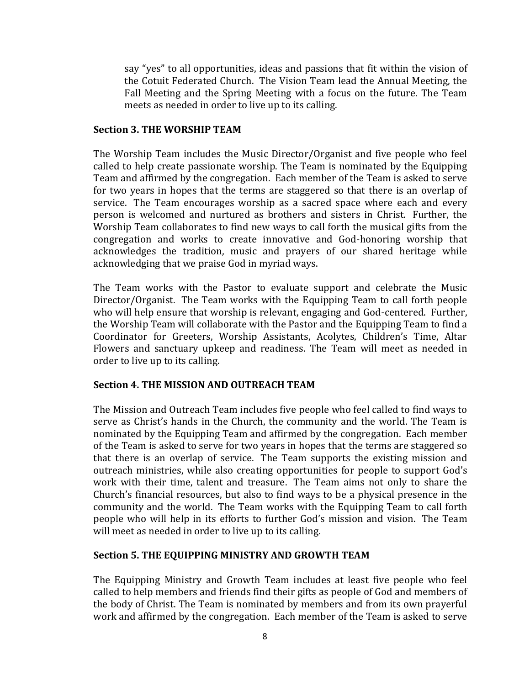say "yes" to all opportunities, ideas and passions that fit within the vision of the Cotuit Federated Church. The Vision Team lead the Annual Meeting, the Fall Meeting and the Spring Meeting with a focus on the future. The Team meets as needed in order to live up to its calling.

### **Section 3. THE WORSHIP TEAM**

The Worship Team includes the Music Director/Organist and five people who feel called to help create passionate worship. The Team is nominated by the Equipping Team and affirmed by the congregation. Each member of the Team is asked to serve for two years in hopes that the terms are staggered so that there is an overlap of service. The Team encourages worship as a sacred space where each and every person is welcomed and nurtured as brothers and sisters in Christ. Further, the Worship Team collaborates to find new ways to call forth the musical gifts from the congregation and works to create innovative and God-honoring worship that acknowledges the tradition, music and prayers of our shared heritage while acknowledging that we praise God in myriad ways.

The Team works with the Pastor to evaluate support and celebrate the Music Director/Organist. The Team works with the Equipping Team to call forth people who will help ensure that worship is relevant, engaging and God-centered. Further, the Worship Team will collaborate with the Pastor and the Equipping Team to find a Coordinator for Greeters, Worship Assistants, Acolytes, Children's Time, Altar Flowers and sanctuary upkeep and readiness. The Team will meet as needed in order to live up to its calling.

## **Section 4. THE MISSION AND OUTREACH TEAM**

The Mission and Outreach Team includes five people who feel called to find ways to serve as Christ's hands in the Church, the community and the world. The Team is nominated by the Equipping Team and affirmed by the congregation. Each member of the Team is asked to serve for two years in hopes that the terms are staggered so that there is an overlap of service. The Team supports the existing mission and outreach ministries, while also creating opportunities for people to support God's work with their time, talent and treasure. The Team aims not only to share the Church's financial resources, but also to find ways to be a physical presence in the community and the world. The Team works with the Equipping Team to call forth people who will help in its efforts to further God's mission and vision. The Team will meet as needed in order to live up to its calling.

## **Section 5. THE EQUIPPING MINISTRY AND GROWTH TEAM**

The Equipping Ministry and Growth Team includes at least five people who feel called to help members and friends find their gifts as people of God and members of the body of Christ. The Team is nominated by members and from its own prayerful work and affirmed by the congregation. Each member of the Team is asked to serve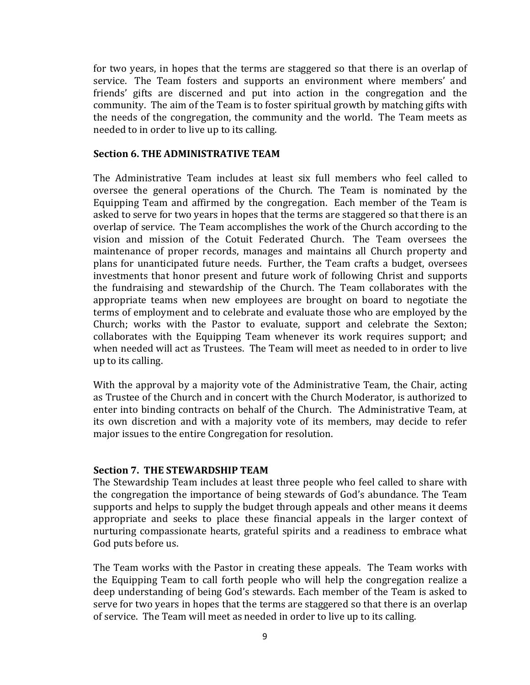for two years, in hopes that the terms are staggered so that there is an overlap of service. The Team fosters and supports an environment where members' and friends' gifts are discerned and put into action in the congregation and the community. The aim of the Team is to foster spiritual growth by matching gifts with the needs of the congregation, the community and the world. The Team meets as needed to in order to live up to its calling.

#### **Section 6. THE ADMINISTRATIVE TEAM**

The Administrative Team includes at least six full members who feel called to oversee the general operations of the Church. The Team is nominated by the Equipping Team and affirmed by the congregation. Each member of the Team is asked to serve for two years in hopes that the terms are staggered so that there is an overlap of service. The Team accomplishes the work of the Church according to the vision and mission of the Cotuit Federated Church. The Team oversees the maintenance of proper records, manages and maintains all Church property and plans for unanticipated future needs. Further, the Team crafts a budget, oversees investments that honor present and future work of following Christ and supports the fundraising and stewardship of the Church. The Team collaborates with the appropriate teams when new employees are brought on board to negotiate the terms of employment and to celebrate and evaluate those who are employed by the Church; works with the Pastor to evaluate, support and celebrate the Sexton; collaborates with the Equipping Team whenever its work requires support; and when needed will act as Trustees. The Team will meet as needed to in order to live up to its calling.

With the approval by a majority vote of the Administrative Team, the Chair, acting as Trustee of the Church and in concert with the Church Moderator, is authorized to enter into binding contracts on behalf of the Church. The Administrative Team, at its own discretion and with a majority vote of its members, may decide to refer major issues to the entire Congregation for resolution.

### **Section 7. THE STEWARDSHIP TEAM**

The Stewardship Team includes at least three people who feel called to share with the congregation the importance of being stewards of God's abundance. The Team supports and helps to supply the budget through appeals and other means it deems appropriate and seeks to place these financial appeals in the larger context of nurturing compassionate hearts, grateful spirits and a readiness to embrace what God puts before us.

The Team works with the Pastor in creating these appeals. The Team works with the Equipping Team to call forth people who will help the congregation realize a deep understanding of being God's stewards. Each member of the Team is asked to serve for two years in hopes that the terms are staggered so that there is an overlap of service. The Team will meet as needed in order to live up to its calling.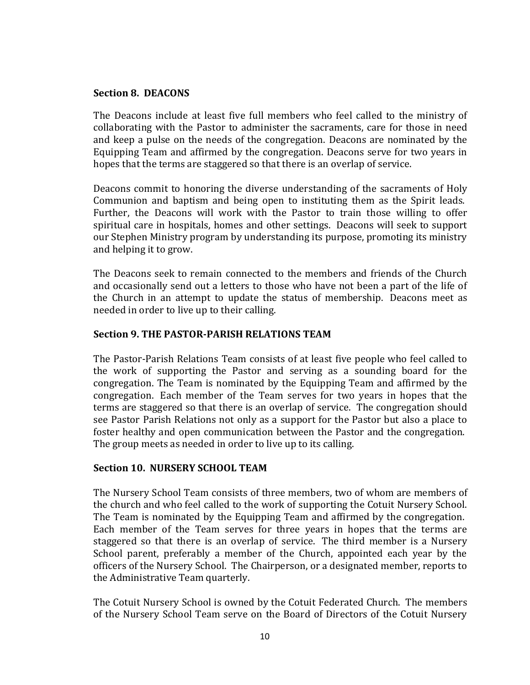#### **Section 8. DEACONS**

The Deacons include at least five full members who feel called to the ministry of collaborating with the Pastor to administer the sacraments, care for those in need and keep a pulse on the needs of the congregation. Deacons are nominated by the Equipping Team and affirmed by the congregation. Deacons serve for two years in hopes that the terms are staggered so that there is an overlap of service.

Deacons commit to honoring the diverse understanding of the sacraments of Holy Communion and baptism and being open to instituting them as the Spirit leads. Further, the Deacons will work with the Pastor to train those willing to offer spiritual care in hospitals, homes and other settings. Deacons will seek to support our Stephen Ministry program by understanding its purpose, promoting its ministry and helping it to grow.

The Deacons seek to remain connected to the members and friends of the Church and occasionally send out a letters to those who have not been a part of the life of the Church in an attempt to update the status of membership. Deacons meet as needed in order to live up to their calling.

## **Section 9. THE PASTOR-PARISH RELATIONS TEAM**

The Pastor-Parish Relations Team consists of at least five people who feel called to the work of supporting the Pastor and serving as a sounding board for the congregation. The Team is nominated by the Equipping Team and affirmed by the congregation. Each member of the Team serves for two years in hopes that the terms are staggered so that there is an overlap of service. The congregation should see Pastor Parish Relations not only as a support for the Pastor but also a place to foster healthy and open communication between the Pastor and the congregation. The group meets as needed in order to live up to its calling.

### **Section 10. NURSERY SCHOOL TEAM**

The Nursery School Team consists of three members, two of whom are members of the church and who feel called to the work of supporting the Cotuit Nursery School. The Team is nominated by the Equipping Team and affirmed by the congregation. Each member of the Team serves for three years in hopes that the terms are staggered so that there is an overlap of service. The third member is a Nursery School parent, preferably a member of the Church, appointed each year by the officers of the Nursery School. The Chairperson, or a designated member, reports to the Administrative Team quarterly.

The Cotuit Nursery School is owned by the Cotuit Federated Church. The members of the Nursery School Team serve on the Board of Directors of the Cotuit Nursery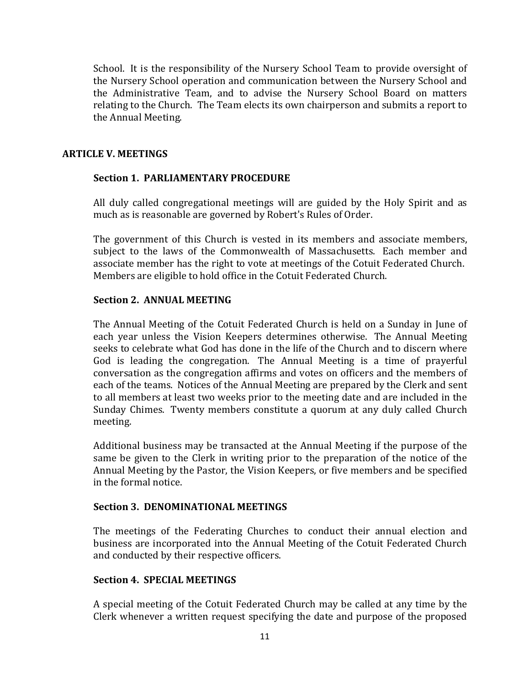School. It is the responsibility of the Nursery School Team to provide oversight of the Nursery School operation and communication between the Nursery School and the Administrative Team, and to advise the Nursery School Board on matters relating to the Church. The Team elects its own chairperson and submits a report to the Annual Meeting.

### **ARTICLE V. MEETINGS**

## **Section 1. PARLIAMENTARY PROCEDURE**

All duly called congregational meetings will are guided by the Holy Spirit and as much as is reasonable are governed by Robert's Rules of Order.

The government of this Church is vested in its members and associate members, subject to the laws of the Commonwealth of Massachusetts. Each member and associate member has the right to vote at meetings of the Cotuit Federated Church. Members are eligible to hold office in the Cotuit Federated Church.

### **Section 2. ANNUAL MEETING**

The Annual Meeting of the Cotuit Federated Church is held on a Sunday in June of each year unless the Vision Keepers determines otherwise. The Annual Meeting seeks to celebrate what God has done in the life of the Church and to discern where God is leading the congregation. The Annual Meeting is a time of prayerful conversation as the congregation affirms and votes on officers and the members of each of the teams. Notices of the Annual Meeting are prepared by the Clerk and sent to all members at least two weeks prior to the meeting date and are included in the Sunday Chimes. Twenty members constitute a quorum at any duly called Church meeting.

Additional business may be transacted at the Annual Meeting if the purpose of the same be given to the Clerk in writing prior to the preparation of the notice of the Annual Meeting by the Pastor, the Vision Keepers, or five members and be specified in the formal notice.

## **Section 3. DENOMINATIONAL MEETINGS**

The meetings of the Federating Churches to conduct their annual election and business are incorporated into the Annual Meeting of the Cotuit Federated Church and conducted by their respective officers.

### **Section 4. SPECIAL MEETINGS**

A special meeting of the Cotuit Federated Church may be called at any time by the Clerk whenever a written request specifying the date and purpose of the proposed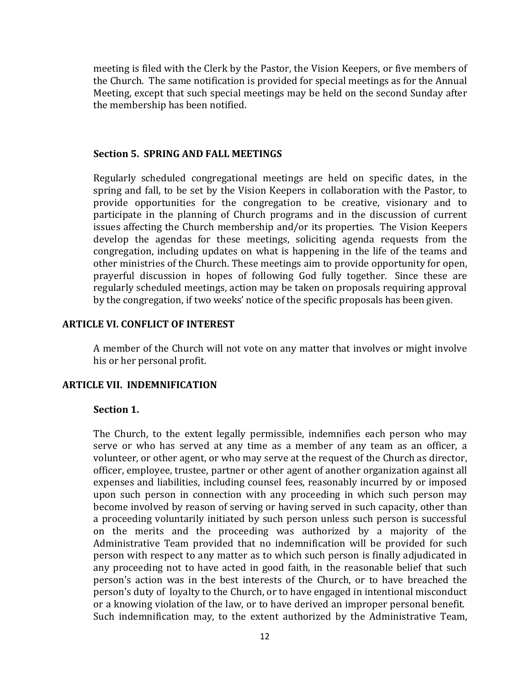meeting is filed with the Clerk by the Pastor, the Vision Keepers, or five members of the Church. The same notification is provided for special meetings as for the Annual Meeting, except that such special meetings may be held on the second Sunday after the membership has been notified.

#### **Section 5. SPRING AND FALL MEETINGS**

Regularly scheduled congregational meetings are held on specific dates, in the spring and fall, to be set by the Vision Keepers in collaboration with the Pastor, to provide opportunities for the congregation to be creative, visionary and to participate in the planning of Church programs and in the discussion of current issues affecting the Church membership and/or its properties. The Vision Keepers develop the agendas for these meetings, soliciting agenda requests from the congregation, including updates on what is happening in the life of the teams and other ministries of the Church. These meetings aim to provide opportunity for open, prayerful discussion in hopes of following God fully together. Since these are regularly scheduled meetings, action may be taken on proposals requiring approval by the congregation, if two weeks' notice of the specific proposals has been given.

### **ARTICLE VI. CONFLICT OF INTEREST**

A member of the Church will not vote on any matter that involves or might involve his or her personal profit.

### **ARTICLE VII. INDEMNIFICATION**

### **Section 1.**

The Church, to the extent legally permissible, indemnifies each person who may serve or who has served at any time as a member of any team as an officer, a volunteer, or other agent, or who may serve at the request of the Church as director, officer, employee, trustee, partner or other agent of another organization against all expenses and liabilities, including counsel fees, reasonably incurred by or imposed upon such person in connection with any proceeding in which such person may become involved by reason of serving or having served in such capacity, other than a proceeding voluntarily initiated by such person unless such person is successful on the merits and the proceeding was authorized by a majority of the Administrative Team provided that no indemnification will be provided for such person with respect to any matter as to which such person is finally adjudicated in any proceeding not to have acted in good faith, in the reasonable belief that such person's action was in the best interests of the Church, or to have breached the person's duty of loyalty to the Church, or to have engaged in intentional misconduct or a knowing violation of the law, or to have derived an improper personal benefit. Such indemnification may, to the extent authorized by the Administrative Team,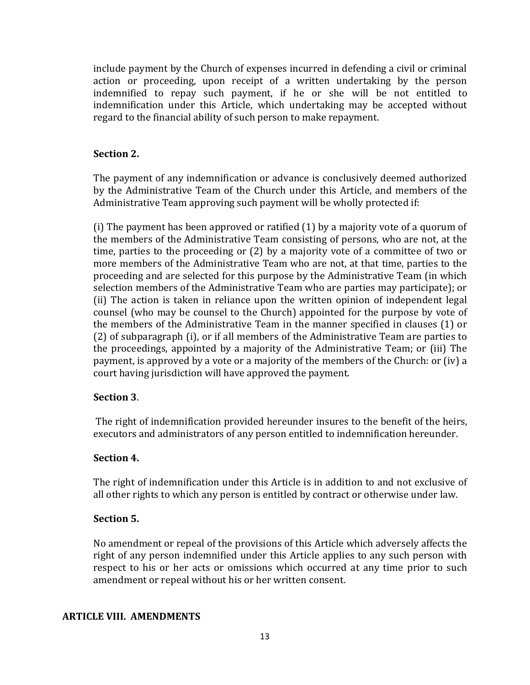include payment by the Church of expenses incurred in defending a civil or criminal action or proceeding, upon receipt of a written undertaking by the person indemnified to repay such payment, if he or she will be not entitled to indemnification under this Article, which undertaking may be accepted without regard to the financial ability of such person to make repayment.

## **Section 2.**

The payment of any indemnification or advance is conclusively deemed authorized by the Administrative Team of the Church under this Article, and members of the Administrative Team approving such payment will be wholly protected if:

(i) The payment has been approved or ratified (1) by a majority vote of a quorum of the members of the Administrative Team consisting of persons, who are not, at the time, parties to the proceeding or (2) by a majority vote of a committee of two or more members of the Administrative Team who are not, at that time, parties to the proceeding and are selected for this purpose by the Administrative Team (in which selection members of the Administrative Team who are parties may participate); or (ii) The action is taken in reliance upon the written opinion of independent legal counsel (who may be counsel to the Church) appointed for the purpose by vote of the members of the Administrative Team in the manner specified in clauses (1) or (2) of subparagraph (i), or if all members of the Administrative Team are parties to the proceedings, appointed by a majority of the Administrative Team; or (iii) The payment, is approved by a vote or a majority of the members of the Church: or (iv) a court having jurisdiction will have approved the payment.

## **Section 3**.

The right of indemnification provided hereunder insures to the benefit of the heirs, executors and administrators of any person entitled to indemnification hereunder.

### **Section 4.**

The right of indemnification under this Article is in addition to and not exclusive of all other rights to which any person is entitled by contract or otherwise under law.

## **Section 5.**

No amendment or repeal of the provisions of this Article which adversely affects the right of any person indemnified under this Article applies to any such person with respect to his or her acts or omissions which occurred at any time prior to such amendment or repeal without his or her written consent.

## **ARTICLE VIII. AMENDMENTS**